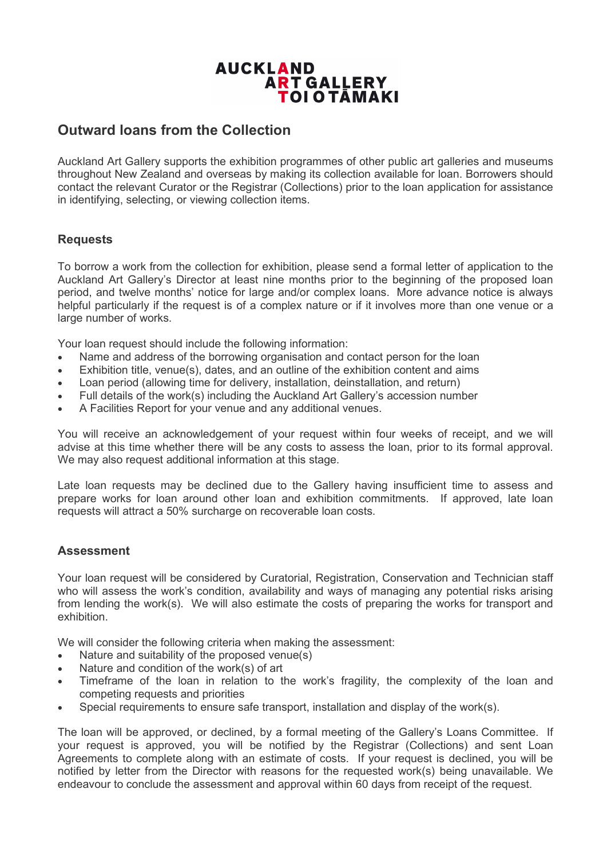# **AUCKLAND ART GALLERY** TOI O TĀMAKI

# **Outward loans from the Collection**

Auckland Art Gallery supports the exhibition programmes of other public art galleries and museums throughout New Zealand and overseas by making its collection available for loan. Borrowers should contact the relevant Curator or the Registrar (Collections) prior to the loan application for assistance in identifying, selecting, or viewing collection items.

## **Requests**

To borrow a work from the collection for exhibition, please send a formal letter of application to the Auckland Art Gallery's Director at least nine months prior to the beginning of the proposed loan period, and twelve months' notice for large and/or complex loans. More advance notice is always helpful particularly if the request is of a complex nature or if it involves more than one venue or a large number of works.

Your loan request should include the following information:

- Name and address of the borrowing organisation and contact person for the loan
- $Exhibition$  title, venue(s), dates, and an outline of the exhibition content and aims
- Loan period (allowing time for delivery, installation, deinstallation, and return)
- Full details of the work(s) including the Auckland Art Gallery's accession number
- A Facilities Report for your venue and any additional venues.

You will receive an acknowledgement of your request within four weeks of receipt, and we will advise at this time whether there will be any costs to assess the loan, prior to its formal approval. We may also request additional information at this stage.

Late loan requests may be declined due to the Gallery having insufficient time to assess and prepare works for loan around other loan and exhibition commitments. If approved, late loan requests will attract a 50% surcharge on recoverable loan costs.

### **Assessment**

Your loan request will be considered by Curatorial, Registration, Conservation and Technician staff who will assess the work's condition, availability and ways of managing any potential risks arising from lending the work(s). We will also estimate the costs of preparing the works for transport and exhibition.

We will consider the following criteria when making the assessment:

- Nature and suitability of the proposed venue(s)
- Nature and condition of the work(s) of art
- Timeframe of the loan in relation to the work's fragility, the complexity of the loan and competing requests and priorities
- Special requirements to ensure safe transport, installation and display of the work(s).

The loan will be approved, or declined, by a formal meeting of the Gallery's Loans Committee. If your request is approved, you will be notified by the Registrar (Collections) and sent Loan Agreements to complete along with an estimate of costs. If your request is declined, you will be notified by letter from the Director with reasons for the requested work(s) being unavailable. We endeavour to conclude the assessment and approval within 60 days from receipt of the request.